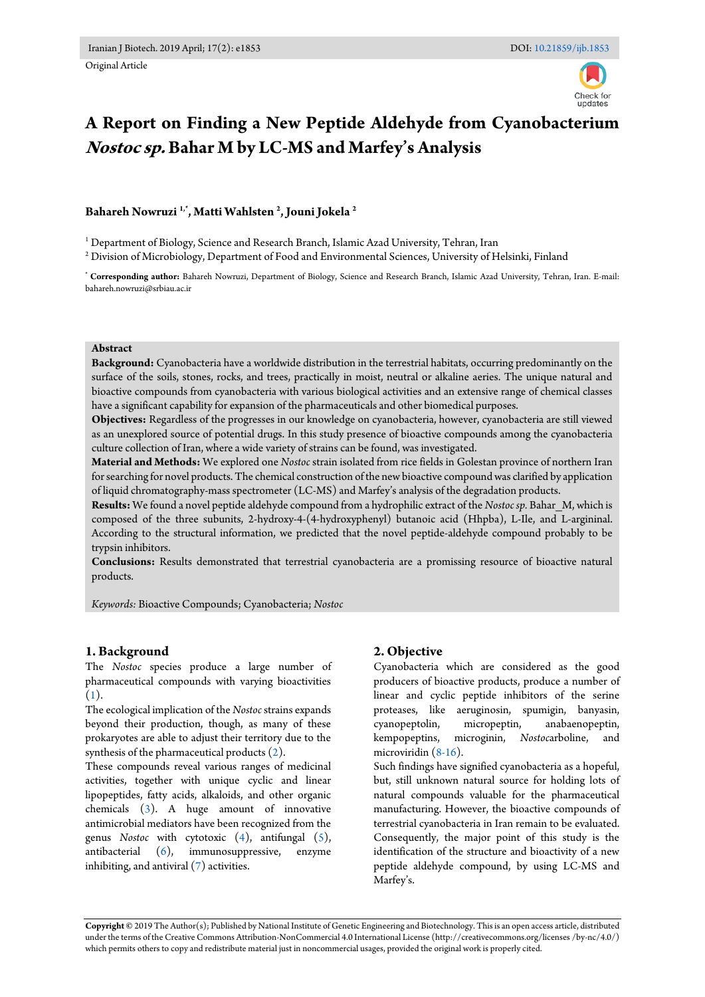Original Article

# **A Report on Finding a New Peptide Aldehyde from Cyanobacterium Nostoc sp. Bahar M by LC-MS and Marfey's Analysis**

# **Bahareh Nowruzi 1,\* , Matti Wahlsten <sup>2</sup> , Jouni Jokela <sup>2</sup>**

<sup>1</sup> Department of Biology, Science and Research Branch, Islamic Azad University, Tehran, Iran

 $^{\rm 2}$  Division of Microbiology, Department of Food and Environmental Sciences, University of Helsinki, Finland

**\* Corresponding author:** Bahareh Nowruzi, Department of Biology, Science and Research Branch, Islamic Azad University, Tehran, Iran. E-mail: bahareh.nowruzi@srbiau.ac.ir

#### **Abstract**

**Background:** Cyanobacteria have a worldwide distribution in the terrestrial habitats, occurring predominantly on the surface of the soils, stones, rocks, and trees, practically in moist, neutral or alkaline aeries. The unique natural and bioactive compounds from cyanobacteria with various biological activities and an extensive range of chemical classes have a significant capability for expansion of the pharmaceuticals and other biomedical purposes.

**Objectives:** Regardless of the progresses in our knowledge on cyanobacteria, however, cyanobacteria are still viewed as an unexplored source of potential drugs. In this study presence of bioactive compounds among the cyanobacteria culture collection of Iran, where a wide variety of strains can be found, was investigated.

**Material and Methods:** We explored one *Nostoc* strain isolated from rice fields in Golestan province of northern Iran for searching for novel products. The chemical construction of the new bioactive compound was clarified by application of liquid chromatography-mass spectrometer (LC-MS) and Marfey's analysis of the degradation products.

**Results:** We found a novel peptide aldehyde compound from a hydrophilic extract of the *Nostoc sp.* Bahar\_M, which is composed of the three subunits, 2-hydroxy-4-(4-hydroxyphenyl) butanoic acid (Hhpba), L-Ile, and L-argininal. According to the structural information, we predicted that the novel peptide-aldehyde compound probably to be trypsin inhibitors.

**Conclusions:** Results demonstrated that terrestrial cyanobacteria are a promissing resource of bioactive natural products.

*Keywords:* Bioactive Compounds; Cyanobacteria; *Nostoc*

#### **1. Background**

The *Nostoc* species produce a large number of pharmaceutical compounds with varying bioactivities [\(1\)](#page-5-0).

The ecological implication of the *Nostoc* strains expands beyond their production, though, as many of these prokaryotes are able to adjust their territory due to the synthesis of the pharmaceutical products [\(2\)](#page-5-1).

These compounds reveal various ranges of medicinal activities, together with unique cyclic and linear lipopeptides, fatty acids, alkaloids, and other organic chemicals [\(3\)](#page-5-2). A huge amount of innovative antimicrobial mediators have been recognized from the genus *Nostoc* with cytotoxic [\(4\)](#page-5-3), antifungal [\(5\)](#page-5-4), antibacterial (6), immunosuppressive, enzyme antibacterial [\(6\)](#page-5-5), immunosuppressive, enzyme inhibiting, and antiviral [\(7\)](#page-5-6) activities.

### **2. Objective**

Cyanobacteria which are considered as the good producers of bioactive products, produce a number of linear and cyclic peptide inhibitors of the serine proteases, like aeruginosin, spumigin, banyasin, cyanopeptolin, micropeptin, anabaenopeptin, kempopeptins, microginin, *Nostoc*arboline, and microviridin [\(8-16\)](#page-5-7).

Such findings have signified cyanobacteria as a hopeful, but, still unknown natural source for holding lots of natural compounds valuable for the pharmaceutical manufacturing. However, the bioactive compounds of terrestrial cyanobacteria in Iran remain to be evaluated. Consequently, the major point of this study is the identification of the structure and bioactivity of a new peptide aldehyde compound, by using LC-MS and Marfey's.

**Copyright ©** 2019 The Author(s); Published by National Institute of Genetic Engineering and Biotechnology. This is an open access article, distributed under the terms of the Creative Commons Attribution-NonCommercial 4.0 International License (http://creativecommons.org/licenses /by-nc/4.0/) which permits others to copy and redistribute material just in noncommercial usages, provided the original work is properly cited.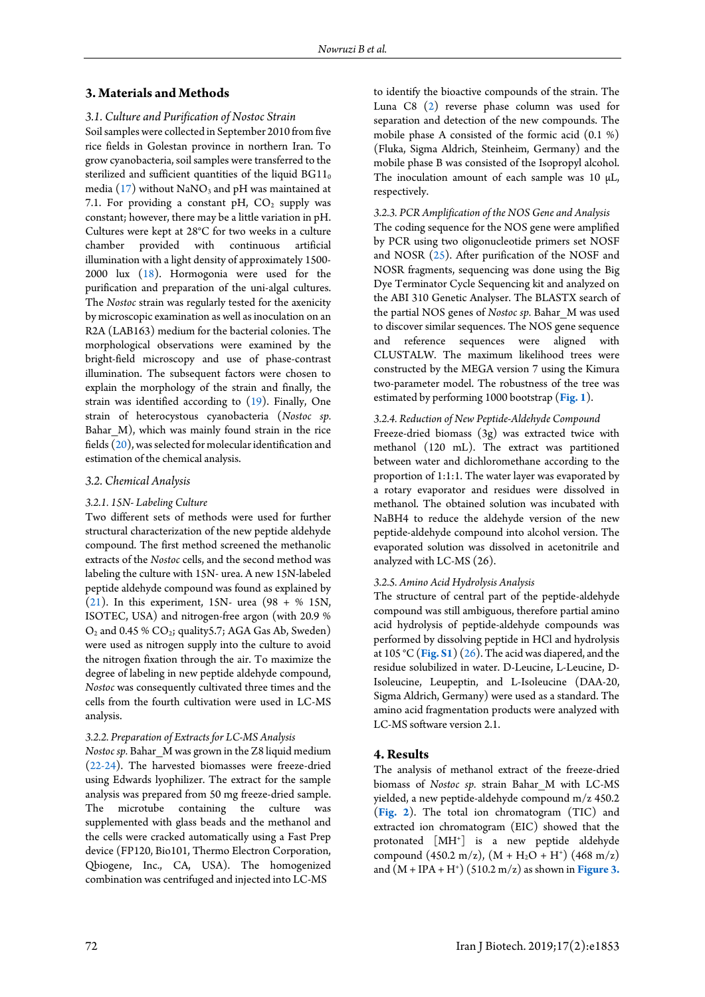#### **3. Materials and Methods**

## *3.1. Culture and Purification of Nostoc Strain*

Soil samples were collected in September 2010 from five rice fields in Golestan province in northern Iran. To grow cyanobacteria, soil samples were transferred to the sterilized and sufficient quantities of the liquid  $BGI1_0$ media [\(17\)](#page-6-0) without  $\text{NaNO}_3$  and pH was maintained at 7.1. For providing a constant pH,  $CO<sub>2</sub>$  supply was constant; however, there may be a little variation in pH. Cultures were kept at 28°C for two weeks in a culture chamber provided with continuous artificial illumination with a light density of approximately 1500- 2000 lux [\(18\)](#page-6-1). Hormogonia were used for the purification and preparation of the uni-algal cultures. The *Nostoc* strain was regularly tested for the axenicity by microscopic examination as well as inoculation on an R2A (LAB163) medium for the bacterial colonies. The morphological observations were examined by the bright-field microscopy and use of phase-contrast illumination. The subsequent factors were chosen to explain the morphology of the strain and finally, the strain was identified according to [\(19\)](#page-6-2). Finally, One strain of heterocystous cyanobacteria (*Nostoc sp.* Bahar M), which was mainly found strain in the rice fields [\(20\)](#page-6-3), was selected for molecular identification and estimation of the chemical analysis.

#### *3.2. Chemical Analysis*

#### *3.2.1. 15N- Labeling Culture*

Two different sets of methods were used for further structural characterization of the new peptide aldehyde compound. The first method screened the methanolic extracts of the *Nostoc* cells, and the second method was labeling the culture with 15N- urea. A new 15N-labeled peptide aldehyde compound was found as explained by [\(21\)](#page-6-4). In this experiment, 15N- urea (98 + % 15N, ISOTEC, USA) and nitrogen-free argon (with 20.9 %  $O_2$  and 0.45 %  $CO_2$ ; quality 5.7; AGA Gas Ab, Sweden) were used as nitrogen supply into the culture to avoid the nitrogen fixation through the air. To maximize the degree of labeling in new peptide aldehyde compound, *Nostoc* was consequently cultivated three times and the cells from the fourth cultivation were used in LC-MS analysis.

#### *3.2.2. Preparation of Extracts for LC-MS Analysis*

*Nostoc sp.* Bahar\_M was grown in the Z8 liquid medium [\(22-24\)](#page-6-5). The harvested biomasses were freeze-dried using Edwards lyophilizer. The extract for the sample analysis was prepared from 50 mg freeze-dried sample. The microtube containing the culture was supplemented with glass beads and the methanol and the cells were cracked automatically using a Fast Prep device (FP120, Bio101, Thermo Electron Corporation, Qbiogene, Inc., CA, USA). The homogenized combination was centrifuged and injected into LC-MS

to identify the bioactive compounds of the strain. The Luna C8 [\(2\)](#page-5-1) reverse phase column was used for separation and detection of the new compounds. The mobile phase A consisted of the formic acid (0.1 %) (Fluka, Sigma Aldrich, Steinheim, Germany) and the mobile phase B was consisted of the Isopropyl alcohol. The inoculation amount of each sample was 10  $\mu$ L, respectively.

#### *3.2.3. PCR Amplification of the NOS Gene and Analysis*

The coding sequence for the NOS gene were amplified by PCR using two oligonucleotide primers set NOSF and NOSR [\(25\)](#page-6-6). After purification of the NOSF and NOSR fragments, sequencing was done using the Big Dye Terminator Cycle Sequencing kit and analyzed on the ABI 310 Genetic Analyser. The BLASTX search of the partial NOS genes of *Nostoc sp.* Bahar\_M was used to discover similar sequences. The NOS gene sequence and reference sequences were aligned with CLUSTALW. The maximum likelihood trees were constructed by the MEGA version 7 using the Kimura two-parameter model. The robustness of the tree was estimated by performing 1000 bootstrap (**[Fig. 1](#page-2-0)**).

#### *3.2.4. Reduction of New Peptide-Aldehyde Compound*

Freeze-dried biomass (3g) was extracted twice with methanol (120 mL). The extract was partitioned between water and dichloromethane according to the proportion of 1:1:1. The water layer was evaporated by a rotary evaporator and residues were dissolved in methanol. The obtained solution was incubated with NaBH4 to reduce the aldehyde version of the new peptide-aldehyde compound into alcohol version. The evaporated solution was dissolved in acetonitrile and analyzed with LC-MS (26).

#### *3.2.5. Amino Acid Hydrolysis Analysis*

The structure of central part of the peptide-aldehyde compound was still ambiguous, therefore partial amino acid hydrolysis of peptide-aldehyde compounds was performed by dissolving peptide in HCl and hydrolysis at 105 °C (**[Fig. S1](#page-7-0)**) [\(26\)](#page-6-7). The acid was diapered, and the residue solubilized in water. D-Leucine, L-Leucine, D-Isoleucine, Leupeptin, and L-Isoleucine (DAA-20, Sigma Aldrich, Germany) were used as a standard. The amino acid fragmentation products were analyzed with LC-MS software version 2.1.

#### **4. Results**

The analysis of methanol extract of the freeze-dried biomass of *Nostoc sp.* strain Bahar\_M with LC-MS yielded, a new peptide-aldehyde compound m/z 450.2 (**[Fig. 2](#page-2-1)**). The total ion chromatogram (TIC) and extracted ion chromatogram (EIC) showed that the protonated [MH<sup>+</sup> ] is a new peptide aldehyde compound  $(450.2 \text{ m/z})$ ,  $(M + H<sub>2</sub>O + H<sup>+</sup>)$   $(468 \text{ m/z})$ and (M + IPA + H<sup>+</sup> ) (510.2 m/z) as shown in **[Figure 3.](#page-2-2)**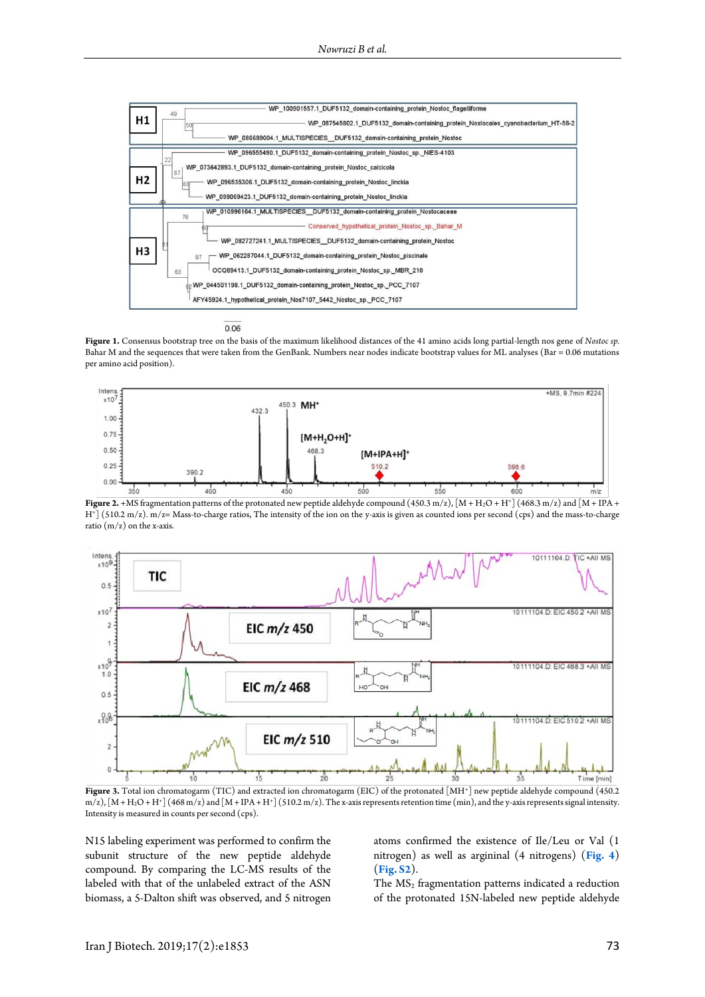<span id="page-2-0"></span>

0.06

**Figure 1.** Consensus bootstrap tree on the basis of the maximum likelihood distances of the 41 amino acids long partial-length nos gene of *Nostoc sp.* Bahar M and the sequences that were taken from the GenBank. Numbers near nodes indicate bootstrap values for ML analyses (Bar = 0.06 mutations per amino acid position).

<span id="page-2-1"></span>

**Figure 2.** +MS fragmentation patterns of the protonated new peptide aldehyde compound  $(450.3 \text{ m/z}), [M + H_2O + H^+]$   $(468.3 \text{ m/z})$  and  $[M + IPA +$ H<sup>+</sup> ] (510.2 m/z). m/z= Mass-to-charge ratios, The intensity of the ion on the y-axis is given as counted ions per second (cps) and the mass-to-charge ratio  $(m/z)$  on the x-axis.

<span id="page-2-2"></span>

**Figure 3.** Total ion chromatogarm (TIC) and extracted ion chromatogarm (EIC) of the protonated [MH<sup>+</sup> ] new peptide aldehyde compound (450.2 m/z),  $[M+H_2O+H^+](468\,\mathrm{m}/\mathrm{z})$  and  $[M+IPA+H^+](510.2\,\mathrm{m}/\mathrm{z})$ . The x-axis represents retention time (min), and the y-axis represents signal intensity. Intensity is measured in counts per second (cps).

N15 labeling experiment was performed to confirm the subunit structure of the new peptide aldehyde compound. By comparing the LC-MS results of the labeled with that of the unlabeled extract of the ASN biomass, a 5-Dalton shift was observed, and 5 nitrogen

atoms confirmed the existence of Ile/Leu or Val (1 nitrogen) as well as argininal (4 nitrogens) (**[Fig. 4](#page-3-0)**) (**Fig. S2**).

The  $MS<sub>2</sub>$  fragmentation patterns indicated a reduction of the protonated 15N-labeled new peptide aldehyde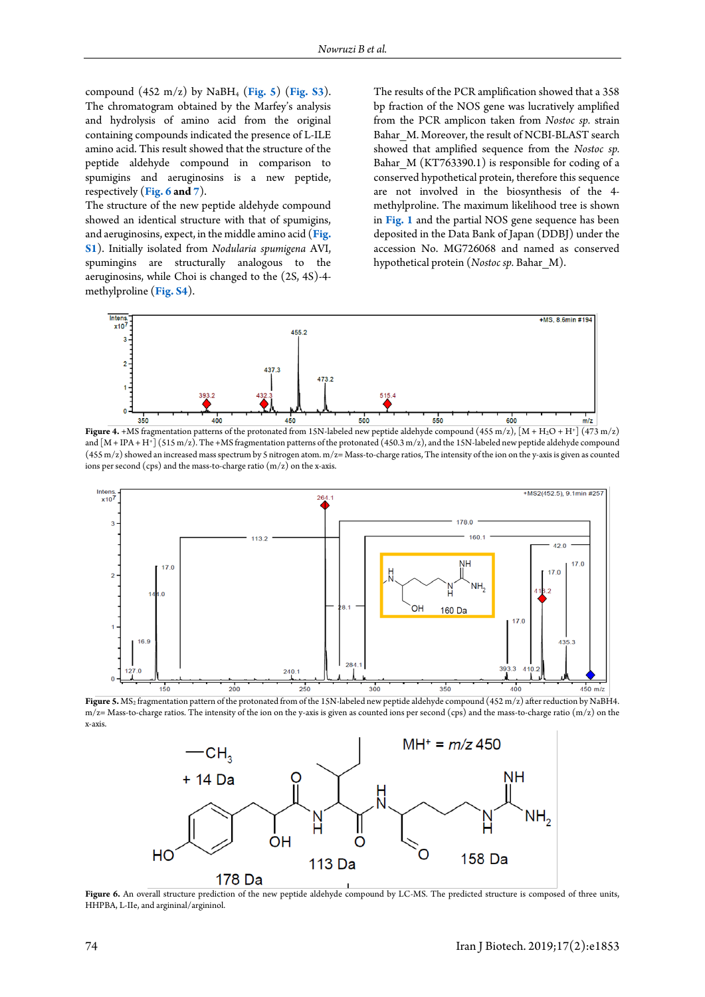compound (452 m/z) by NaBH<sup>4</sup> (**[Fig. 5](#page-3-1)**) (**Fig. S3**). The chromatogram obtained by the Marfey's analysis and hydrolysis of amino acid from the original containing compounds indicated the presence of L-ILE amino acid. This result showed that the structure of the peptide aldehyde compound in comparison to spumigins and aeruginosins is a new peptide, respectively (**[Fig. 6](#page-3-2) an[d 7](#page-4-0)**).

The structure of the new peptide aldehyde compound showed an identical structure with that of spumigins, and aeruginosins, expect, in the middle amino acid (**[Fig.](#page-7-0)  [S1](#page-7-0)**). Initially isolated from *Nodularia spumigena* AVI, spumingins are structurally analogous to the aeruginosins, while Choi is changed to the (2S, 4S)-4 methylproline (**Fig. S4**).

The results of the PCR amplification showed that a 358 bp fraction of the NOS gene was lucratively amplified from the PCR amplicon taken from *Nostoc sp.* strain Bahar M. Moreover, the result of NCBI-BLAST search showed that amplified sequence from the *Nostoc sp.* Bahar M (KT763390.1) is responsible for coding of a conserved hypothetical protein, therefore this sequence are not involved in the biosynthesis of the 4 methylproline. The maximum likelihood tree is shown in **[Fig. 1](#page-2-0)** and the partial NOS gene sequence has been deposited in the Data Bank of Japan (DDBJ) under the accession No. MG726068 and named as conserved hypothetical protein (*Nostoc sp.* Bahar\_M).

<span id="page-3-0"></span>

**Figure 4.** +MS fragmentation patterns of the protonated from 15N-labeled new peptide aldehyde compound (455 m/z), [M + H2O + H<sup>+</sup> ] (473 m/z) and [M + IPA + H<sup>+</sup> ] (515 m/z). The +MS fragmentation patterns of the protonated (450.3 m/z), and the 15N-labeled new peptide aldehyde compound (455 m/z) showed an increased mass spectrum by 5 nitrogen atom. m/z= Mass-to-charge ratios, The intensity of the ion on the y-axis is given as counted ions per second (cps) and the mass-to-charge ratio (m/z) on the x-axis.

<span id="page-3-1"></span>

<span id="page-3-2"></span>Figure 5. MS<sub>2</sub> fragmentation pattern of the protonated from of the 15N-labeled new peptide aldehyde compound (452 m/z) after reduction by NaBH4.  $m/z$  Mass-to-charge ratios. The intensity of the ion on the y-axis is given as counted ions per second (cps) and the mass-to-charge ratio (m/z) on the x-axis.



Figure 6. An overall structure prediction of the new peptide aldehyde compound by LC-MS. The predicted structure is composed of three units, HHPBA, L-IIe, and argininal/argininol.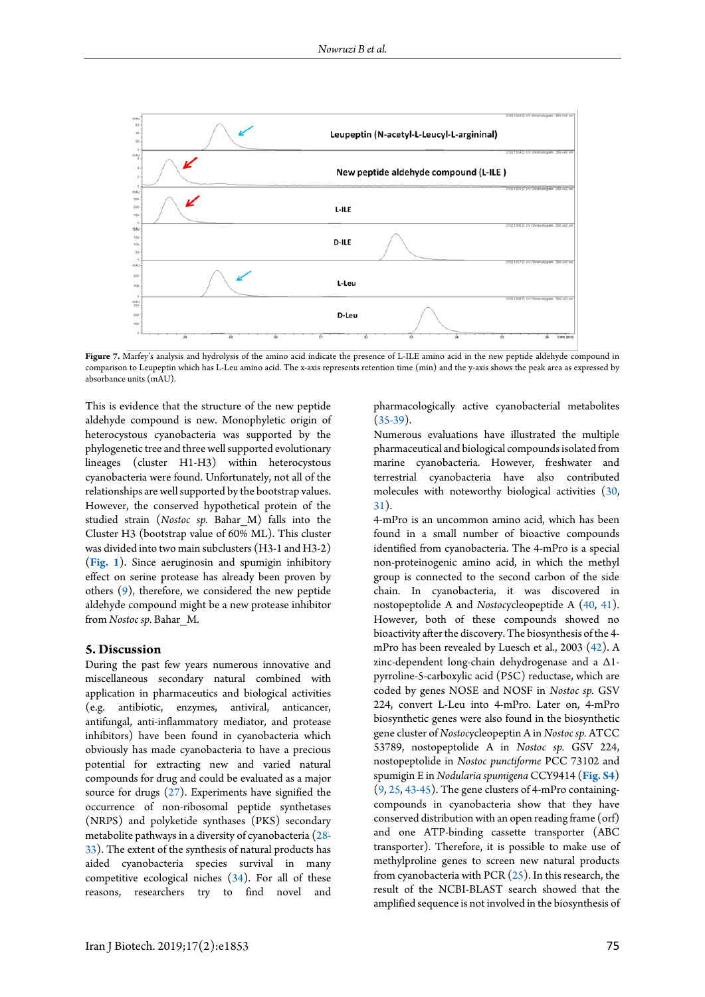<span id="page-4-0"></span>

Figure 7. Marfey's analysis and hydrolysis of the amino acid indicate the presence of L-ILE amino acid in the new peptide aldehyde compound in comparison to Leupeptin which has L-Leu amino acid. The x-axis represents retention time (min) and the y-axis shows the peak area as expressed by absorbance units (mAU).

This is evidence that the structure of the new peptide aldehyde compound is new. Monophyletic origin of heterocystous cyanobacteria was supported by the phylogenetic tree and three well supported evolutionary lineages (cluster H1-H3) within heterocystous cyanobacteria were found. Unfortunately, not all of the relationships are well supported by the bootstrap values. However, the conserved hypothetical protein of the studied strain (*Nostoc sp.* Bahar\_M) falls into the Cluster H3 (bootstrap value of 60% ML). This cluster was divided into two main subclusters (H3-1 and H3-2) (**[Fig. 1](#page-2-0)**). Since aeruginosin and spumigin inhibitory effect on serine protease has already been proven by others [\(9\)](#page-6-8), therefore, we considered the new peptide aldehyde compound might be a new protease inhibitor from *Nostoc sp.* Bahar\_M.

#### **5. Discussion**

During the past few years numerous innovative and miscellaneous secondary natural combined with application in pharmaceutics and biological activities (e.g. antibiotic, enzymes, antiviral, anticancer, antifungal, anti-inflammatory mediator, and protease inhibitors) have been found in cyanobacteria which obviously has made cyanobacteria to have a precious potential for extracting new and varied natural compounds for drug and could be evaluated as a major source for drugs [\(27\)](#page-6-9). Experiments have signified the occurrence of non-ribosomal peptide synthetases (NRPS) and polyketide synthases (PKS) secondary metabolite pathways in a diversity of cyanobacteria [\(28-](#page-6-10) [33\)](#page-6-10). The extent of the synthesis of natural products has aided cyanobacteria species survival in many competitive ecological niches [\(34\)](#page-6-11). For all of these reasons, researchers try to find novel and

pharmacologically active cyanobacterial metabolites  $(35-39)$ .

Numerous evaluations have illustrated the multiple pharmaceutical and biological compounds isolated from marine cyanobacteria. However, freshwater and terrestrial cyanobacteria have also contributed molecules with noteworthy biological activities [\(30,](#page-6-13)  [31\)](#page-6-14).

4-mPro is an uncommon amino acid, which has been found in a small number of bioactive compounds identified from cyanobacteria. The 4-mPro is a special non-proteinogenic amino acid, in which the methyl group is connected to the second carbon of the side chain. In cyanobacteria, it was discovered in nostopeptolide A and *Nostoc*ycleopeptide A [\(40,](#page-7-1) [41\)](#page-7-2). However, both of these compounds showed no bioactivity after the discovery. The biosynthesis of the 4 mPro has been revealed by Luesch et al., 2003 [\(42\)](#page-7-3). A zinc-dependent long-chain dehydrogenase and a Δ1 pyrroline-5-carboxylic acid (P5C) reductase, which are coded by genes NOSE and NOSF in *Nostoc sp.* GSV 224, convert L-Leu into 4-mPro. Later on, 4-mPro biosynthetic genes were also found in the biosynthetic gene cluster of *Nostoc*ycleopeptin A in *Nostoc sp.* ATCC 53789, nostopeptolide A in *Nostoc sp.* GSV 224, nostopeptolide in *Nostoc punctiforme* PCC 73102 and spumigin E in *Nodularia spumigena* CCY9414 (**Fig. S4**) [\(9,](#page-6-8) [25,](#page-6-6) [43-45\)](#page-7-4). The gene clusters of 4-mPro containingcompounds in cyanobacteria show that they have conserved distribution with an open reading frame (orf) and one ATP-binding cassette transporter (ABC transporter). Therefore, it is possible to make use of methylproline genes to screen new natural products from cyanobacteria with PCR [\(25\)](#page-6-6). In this research, the result of the NCBI-BLAST search showed that the amplified sequence is not involved in the biosynthesis of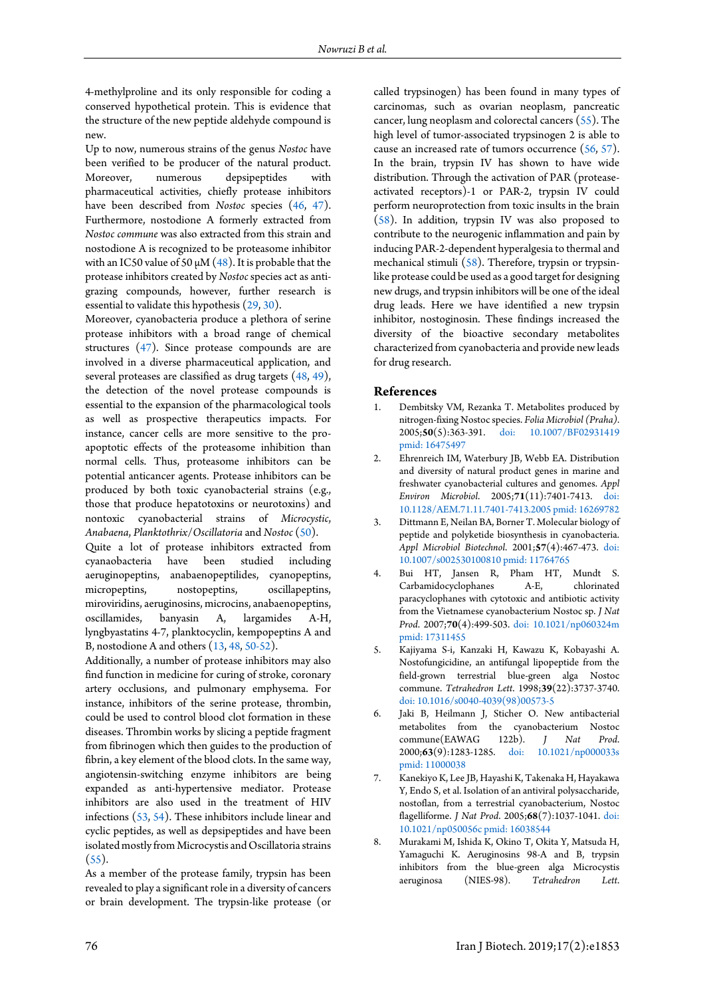4-methylproline and its only responsible for coding a conserved hypothetical protein. This is evidence that the structure of the new peptide aldehyde compound is new.

Up to now, numerous strains of the genus *Nostoc* have been verified to be producer of the natural product.<br>Moreover, numerous depsipeptides with numerous depsipeptides with pharmaceutical activities, chiefly protease inhibitors have been described from *Nostoc* species [\(46,](#page-7-5) [47\)](#page-7-6). Furthermore, nostodione A formerly extracted from *Nostoc commune* was also extracted from this strain and nostodione A is recognized to be proteasome inhibitor with an IC50 value of 50  $\mu$ M [\(48\)](#page-7-7). It is probable that the protease inhibitors created by *Nostoc* species act as antigrazing compounds, however, further research is essential to validate this hypothesis [\(29,](#page-6-15) [30\)](#page-6-13).

Moreover, cyanobacteria produce a plethora of serine protease inhibitors with a broad range of chemical structures [\(47\)](#page-7-6). Since protease compounds are are involved in a diverse pharmaceutical application, and several proteases are classified as drug targets [\(48,](#page-7-7) [49\)](#page-7-8), the detection of the novel protease compounds is essential to the expansion of the pharmacological tools as well as prospective therapeutics impacts. For instance, cancer cells are more sensitive to the proapoptotic effects of the proteasome inhibition than normal cells. Thus, proteasome inhibitors can be potential anticancer agents. Protease inhibitors can be produced by both toxic cyanobacterial strains (e.g., those that produce hepatotoxins or neurotoxins) and nontoxic cyanobacterial strains of *Microcystic*, *Anabaena*, *Planktothrix*/*Oscillatoria* and *Nostoc* [\(50\)](#page-7-9).

Quite a lot of protease inhibitors extracted from cyanaobacteria have been studied including aeruginopeptins, anabaenopeptilides, cyanopeptins, micropeptins, nostopeptins, oscillapeptins, miroviridins, aeruginosins, microcins, anabaenopeptins, oscillamides, banyasin A, largamides A-H, lyngbyastatins 4-7, planktocyclin, kempopeptins A and B, nostodione A and others [\(13,](#page-6-16) [48,](#page-7-7) [50-52\)](#page-7-9).

Additionally, a number of protease inhibitors may also find function in medicine for curing of stroke, coronary artery occlusions, and pulmonary emphysema. For instance, inhibitors of the serine protease, thrombin, could be used to control blood clot formation in these diseases. Thrombin works by slicing a peptide fragment from fibrinogen which then guides to the production of fibrin, a key element of the blood clots. In the same way, angiotensin-switching enzyme inhibitors are being expanded as anti-hypertensive mediator. Protease inhibitors are also used in the treatment of HIV infections [\(53,](#page-7-10) [54\)](#page-7-11). These inhibitors include linear and cyclic peptides, as well as depsipeptides and have been isolated mostly from Microcystis and Oscillatoria strains  $(55).$  $(55).$ 

As a member of the protease family, trypsin has been revealed to play a significant role in a diversity of cancers or brain development. The trypsin-like protease (or called trypsinogen) has been found in many types of carcinomas, such as ovarian neoplasm, pancreatic cancer, lung neoplasm and colorectal cancers [\(55\)](#page-7-12). The high level of tumor-associated trypsinogen 2 is able to cause an increased rate of tumors occurrence [\(56,](#page-7-13) [57\)](#page-7-14). In the brain, trypsin IV has shown to have wide distribution. Through the activation of PAR (proteaseactivated receptors)-1 or PAR-2, trypsin IV could perform neuroprotection from toxic insults in the brain [\(58\)](#page-7-15). In addition, trypsin IV was also proposed to contribute to the neurogenic inflammation and pain by inducing PAR-2-dependent hyperalgesia to thermal and mechanical stimuli [\(58\)](#page-7-15). Therefore, trypsin or trypsinlike protease could be used as a good target for designing new drugs, and trypsin inhibitors will be one of the ideal drug leads. Here we have identified a new trypsin inhibitor, nostoginosin. These findings increased the diversity of the bioactive secondary metabolites characterized from cyanobacteria and provide new leads for drug research.

#### **References**

- <span id="page-5-0"></span>1. Dembitsky VM, Rezanka T. Metabolites produced by nitrogen-fixing Nostoc species. *Folia Microbiol (Praha)*. 2005;**50**(5):363-391. [doi: 10.1007/BF02931419](http://dx.doi.org/10.1007/BF02931419) [pmid: 16475497](www.ncbi.nlm.nih.gov/pubmed/16475497)
- <span id="page-5-1"></span>2. Ehrenreich IM, Waterbury JB, Webb EA. Distribution and diversity of natural product genes in marine and freshwater cyanobacterial cultures and genomes. *Appl Environ Microbiol*. 2005;**71**(11):7401-7413. [doi:](http://dx.doi.org/10.1128/AEM.71.11.7401-7413.2005)  [10.1128/AEM.71.11.7401-7413.2005](http://dx.doi.org/10.1128/AEM.71.11.7401-7413.2005) [pmid: 16269782](www.ncbi.nlm.nih.gov/pubmed/16269782)
- <span id="page-5-2"></span>3. Dittmann E, Neilan BA, Borner T. Molecular biology of peptide and polyketide biosynthesis in cyanobacteria. *Appl Microbiol Biotechnol*. 2001;**57**(4):467-473. [doi:](http://dx.doi.org/10.1007/s002530100810)  [10.1007/s002530100810](http://dx.doi.org/10.1007/s002530100810) [pmid: 11764765](www.ncbi.nlm.nih.gov/pubmed/11764765)
- <span id="page-5-3"></span>4. Bui HT, Jansen R, Pham HT, Mundt S. Carbamidocyclophanes A-E, chlorinated paracyclophanes with cytotoxic and antibiotic activity from the Vietnamese cyanobacterium Nostoc sp. *J Nat Prod*. 2007;**70**(4):499-503. [doi: 10.1021/np060324m](http://dx.doi.org/10.1021/np060324m) [pmid: 17311455](www.ncbi.nlm.nih.gov/pubmed/17311455)
- <span id="page-5-4"></span>5. Kajiyama S-i, Kanzaki H, Kawazu K, Kobayashi A. Nostofungicidine, an antifungal lipopeptide from the field-grown terrestrial blue-green alga Nostoc commune. *Tetrahedron Lett*. 1998;**39**(22):3737-3740. [doi: 10.1016/s0040-4039\(98\)00573-5](http://dx.doi.org/10.1016/s0040-4039(98)00573-5)
- <span id="page-5-5"></span>6. Jaki B, Heilmann J, Sticher O. New antibacterial metabolites from the cyanobacterium Nostoc commune(EAWAG 122b). *J Nat Prod*. 2000;63(9):1283-1285. doi: [pmid: 11000038](www.ncbi.nlm.nih.gov/pubmed/11000038)
- <span id="page-5-6"></span>7. Kanekiyo K, Lee JB, Hayashi K, Takenaka H, Hayakawa Y, Endo S, et al. Isolation of an antiviral polysaccharide, nostoflan, from a terrestrial cyanobacterium, Nostoc flagelliforme. *J Nat Prod*. 2005;**68**(7):1037-1041. [doi:](http://dx.doi.org/10.1021/np050056c)  [10.1021/np050056c](http://dx.doi.org/10.1021/np050056c) [pmid: 16038544](www.ncbi.nlm.nih.gov/pubmed/16038544)
- <span id="page-5-7"></span>8. Murakami M, Ishida K, Okino T, Okita Y, Matsuda H, Yamaguchi K. Aeruginosins 98-A and B, trypsin inhibitors from the blue-green alga Microcystis aeruginosa (NIES-98). *Tetrahedron Lett*.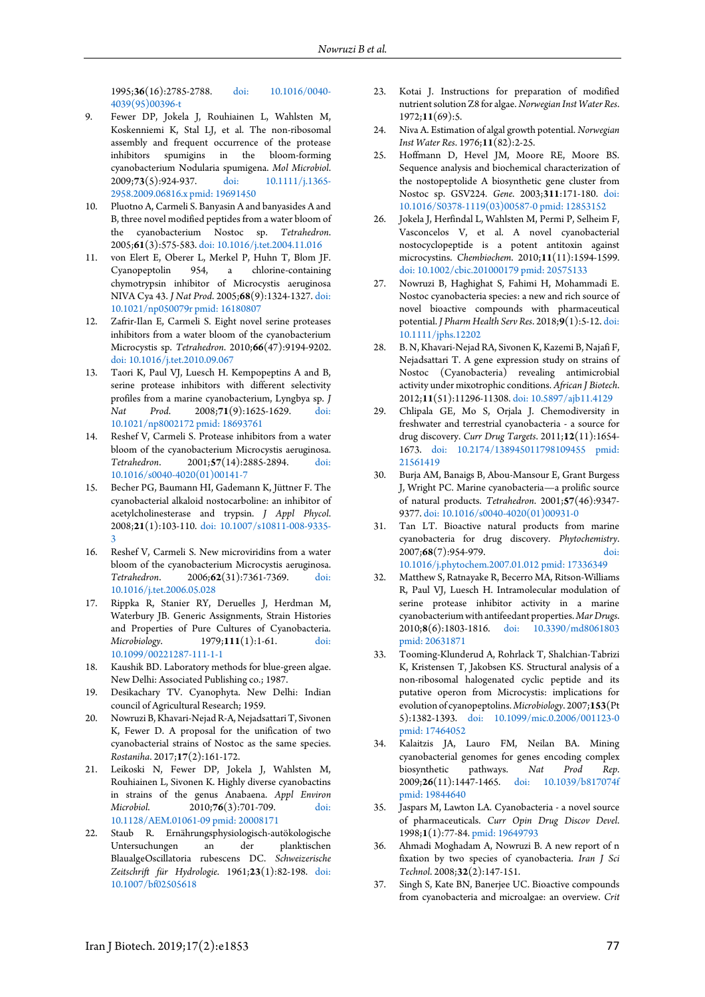1995;**36**(16):2785-2788. [doi: 10.1016/0040-](http://dx.doi.org/10.1016/0040-4039(95)00396-t) [4039\(95\)00396-t](http://dx.doi.org/10.1016/0040-4039(95)00396-t)

- <span id="page-6-8"></span>9. Fewer DP, Jokela J, Rouhiainen L, Wahlsten M, Koskenniemi K, Stal LJ, et al. The non-ribosomal assembly and frequent occurrence of the protease inhibitors spumigins in the bloom-forming cyanobacterium Nodularia spumigena. *Mol Microbiol*. 2009;73(5):924-937. [2958.2009.06816.x](http://dx.doi.org/10.1111/j.1365-2958.2009.06816.x) [pmid: 19691450](www.ncbi.nlm.nih.gov/pubmed/19691450)
- 10. Pluotno A, Carmeli S. Banyasin A and banyasides A and B, three novel modified peptides from a water bloom of the cyanobacterium Nostoc sp. *Tetrahedron*. 2005;**61**(3):575-583[. doi: 10.1016/j.tet.2004.11.016](http://dx.doi.org/10.1016/j.tet.2004.11.016)
- 11. von Elert E, Oberer L, Merkel P, Huhn T, Blom JF. Cyanopeptolin 954, a chlorine-containing chymotrypsin inhibitor of Microcystis aeruginosa NIVA Cya 43. *J Nat Prod*. 2005;**68**(9):1324-1327[. doi:](http://dx.doi.org/10.1021/np050079r)  [10.1021/np050079r](http://dx.doi.org/10.1021/np050079r) [pmid: 16180807](www.ncbi.nlm.nih.gov/pubmed/16180807)
- 12. Zafrir-Ilan E, Carmeli S. Eight novel serine proteases inhibitors from a water bloom of the cyanobacterium Microcystis sp. *Tetrahedron*. 2010;**66**(47):9194-9202. [doi: 10.1016/j.tet.2010.09.067](http://dx.doi.org/10.1016/j.tet.2010.09.067)
- <span id="page-6-16"></span>13. Taori K, Paul VJ, Luesch H. Kempopeptins A and B, serine protease inhibitors with different selectivity profiles from a marine cyanobacterium, Lyngbya sp. *J Nat Prod*. 2008;**71**(9):1625-1629. [doi:](http://dx.doi.org/10.1021/np8002172)  [10.1021/np8002172](http://dx.doi.org/10.1021/np8002172) [pmid: 18693761](www.ncbi.nlm.nih.gov/pubmed/18693761)
- 14. Reshef V, Carmeli S. Protease inhibitors from a water bloom of the cyanobacterium Microcystis aeruginosa. *Tetrahedron*. 2001;**57**(14):2885-2894. [doi:](http://dx.doi.org/10.1016/s0040-4020(01)00141-7)  [10.1016/s0040-4020\(01\)00141-7](http://dx.doi.org/10.1016/s0040-4020(01)00141-7)
- 15. Becher PG, Baumann HI, Gademann K, Jüttner F. The cyanobacterial alkaloid nostocarboline: an inhibitor of acetylcholinesterase and trypsin. *J Appl Phycol*. 2008;**21**(1):103-110. [doi: 10.1007/s10811-008-9335-](http://dx.doi.org/10.1007/s10811-008-9335-3) [3](http://dx.doi.org/10.1007/s10811-008-9335-3)
- 16. Reshef V, Carmeli S. New microviridins from a water bloom of the cyanobacterium Microcystis aeruginosa. *Tetrahedron*. 2006;**62**(31):7361-7369. [doi:](http://dx.doi.org/10.1016/j.tet.2006.05.028)  [10.1016/j.tet.2006.05.028](http://dx.doi.org/10.1016/j.tet.2006.05.028)
- <span id="page-6-0"></span>17. Rippka R, Stanier RY, Deruelles J, Herdman M, Waterbury JB. Generic Assignments, Strain Histories and Properties of Pure Cultures of Cyanobacteria. *Microbiology*. 1979;**111**(1):1-61. [doi:](http://dx.doi.org/10.1099/00221287-111-1-1)  [10.1099/00221287-111-1-1](http://dx.doi.org/10.1099/00221287-111-1-1)
- <span id="page-6-1"></span>18. Kaushik BD. Laboratory methods for blue-green algae. New Delhi: Associated Publishing co.; 1987.
- <span id="page-6-2"></span>19. Desikachary TV. Cyanophyta. New Delhi: Indian council of Agricultural Research; 1959.
- <span id="page-6-3"></span>20. Nowruzi B, Khavari-Nejad R-A, Nejadsattari T, Sivonen K, Fewer D. A proposal for the unification of two cyanobacterial strains of Nostoc as the same species. *Rostaniha*. 2017;**17**(2):161-172.
- <span id="page-6-4"></span>21. Leikoski N, Fewer DP, Jokela J, Wahlsten M, Rouhiainen L, Sivonen K. Highly diverse cyanobactins in strains of the genus Anabaena. *Appl Environ Microbiol*. 2010;**76**(3):701-709. [doi:](http://dx.doi.org/10.1128/AEM.01061-09)  [10.1128/AEM.01061-09](http://dx.doi.org/10.1128/AEM.01061-09) [pmid: 20008171](www.ncbi.nlm.nih.gov/pubmed/20008171)
- <span id="page-6-5"></span>22. Staub R. Ernährungsphysiologisch-autökologische Untersuchungen an der planktischen BlaualgeOscillatoria rubescens DC. *Schweizerische Zeitschrift für Hydrologie*. 1961;**23**(1):82-198. [doi:](http://dx.doi.org/10.1007/bf02505618)  [10.1007/bf02505618](http://dx.doi.org/10.1007/bf02505618)
- 23. Kotai J. Instructions for preparation of modified nutrient solution Z8 for algae. *Norwegian Inst Water Res*. 1972;**11**(69):5.
- 24. Niva A. Estimation of algal growth potential. *Norwegian Inst Water Res*. 1976;**11**(82):2-25.
- <span id="page-6-6"></span>25. Hoffmann D, Hevel JM, Moore RE, Moore BS. Sequence analysis and biochemical characterization of the nostopeptolide A biosynthetic gene cluster from Nostoc sp. GSV224. *Gene*. 2003;**311**:171-180. [doi:](http://dx.doi.org/10.1016/S0378-1119(03)00587-0)  [10.1016/S0378-1119\(03\)00587-0](http://dx.doi.org/10.1016/S0378-1119(03)00587-0) [pmid: 12853152](www.ncbi.nlm.nih.gov/pubmed/12853152)
- <span id="page-6-7"></span>26. Jokela J, Herfindal L, Wahlsten M, Permi P, Selheim F, Vasconcelos V, et al. A novel cyanobacterial nostocyclopeptide is a potent antitoxin against microcystins. *Chembiochem*. 2010;**11**(11):1594-1599. [doi: 10.1002/cbic.201000179](http://dx.doi.org/10.1002/cbic.201000179) [pmid: 20575133](www.ncbi.nlm.nih.gov/pubmed/20575133)
- <span id="page-6-9"></span>27. Nowruzi B, Haghighat S, Fahimi H, Mohammadi E. Nostoc cyanobacteria species: a new and rich source of novel bioactive compounds with pharmaceutical potential. *J Pharm Health Serv Res*. 2018;**9**(1):5-12[. doi:](http://dx.doi.org/10.1111/jphs.12202)  [10.1111/jphs.12202](http://dx.doi.org/10.1111/jphs.12202)
- <span id="page-6-10"></span>28. B. N, Khavari-Nejad RA, Sivonen K, Kazemi B, Najafi F, Nejadsattari T. A gene expression study on strains of Nostoc (Cyanobacteria) revealing antimicrobial activity under mixotrophic conditions. *African J Biotech*. 2012;**11**(51):11296-11308[. doi: 10.5897/ajb11.4129](http://dx.doi.org/10.5897/ajb11.4129)
- <span id="page-6-15"></span>29. Chlipala GE, Mo S, Orjala J. Chemodiversity in freshwater and terrestrial cyanobacteria - a source for drug discovery. *Curr Drug Targets*. 2011;**12**(11):1654- 1673. [doi: 10.2174/138945011798109455](http://dx.doi.org/10.2174/138945011798109455) [pmid:](www.ncbi.nlm.nih.gov/pubmed/21561419)  [21561419](www.ncbi.nlm.nih.gov/pubmed/21561419)
- <span id="page-6-13"></span>30. Burja AM, Banaigs B, Abou-Mansour E, Grant Burgess J, Wright PC. Marine cyanobacteria—a prolific source of natural products. *Tetrahedron*. 2001;**57**(46):9347- 9377[. doi: 10.1016/s0040-4020\(01\)00931-0](http://dx.doi.org/10.1016/s0040-4020(01)00931-0)
- <span id="page-6-14"></span>31. Tan LT. Bioactive natural products from marine cyanobacteria for drug discovery. *Phytochemistry*. 2007;68(7):954-979. [10.1016/j.phytochem.2007.01.012](http://dx.doi.org/10.1016/j.phytochem.2007.01.012) [pmid: 17336349](www.ncbi.nlm.nih.gov/pubmed/17336349)
- 32. Matthew S, Ratnayake R, Becerro MA, Ritson-Williams R, Paul VJ, Luesch H. Intramolecular modulation of serine protease inhibitor activity in a marine cyanobacterium with antifeedant properties. *Mar Drugs*. 2010;**8**(6):1803-1816. [doi: 10.3390/md8061803](http://dx.doi.org/10.3390/md8061803) [pmid: 20631871](www.ncbi.nlm.nih.gov/pubmed/20631871)
- 33. Tooming-Klunderud A, Rohrlack T, Shalchian-Tabrizi K, Kristensen T, Jakobsen KS. Structural analysis of a non-ribosomal halogenated cyclic peptide and its putative operon from Microcystis: implications for evolution of cyanopeptolins. *Microbiology*. 2007;**153**(Pt 5):1382-1393. [doi: 10.1099/mic.0.2006/001123-0](http://dx.doi.org/10.1099/mic.0.2006/001123-0) [pmid: 17464052](www.ncbi.nlm.nih.gov/pubmed/17464052)
- <span id="page-6-11"></span>34. Kalaitzis JA, Lauro FM, Neilan BA. Mining cyanobacterial genomes for genes encoding complex biosynthetic pathways. *Nat Prod Rep*. 2009;**26**(11):1447-1465. [doi: 10.1039/b817074f](http://dx.doi.org/10.1039/b817074f) [pmid: 19844640](www.ncbi.nlm.nih.gov/pubmed/19844640)
- <span id="page-6-12"></span>35. Jaspars M, Lawton LA. Cyanobacteria - a novel source of pharmaceuticals. *Curr Opin Drug Discov Devel*. 1998;**1**(1):77-84[. pmid: 19649793](www.ncbi.nlm.nih.gov/pubmed/19649793)
- 36. Ahmadi Moghadam A, Nowruzi B. A new report of n fixation by two species of cyanobacteria. *Iran J Sci Technol*. 2008;**32**(2):147-151.
- 37. Singh S, Kate BN, Banerjee UC. Bioactive compounds from cyanobacteria and microalgae: an overview. *Crit*